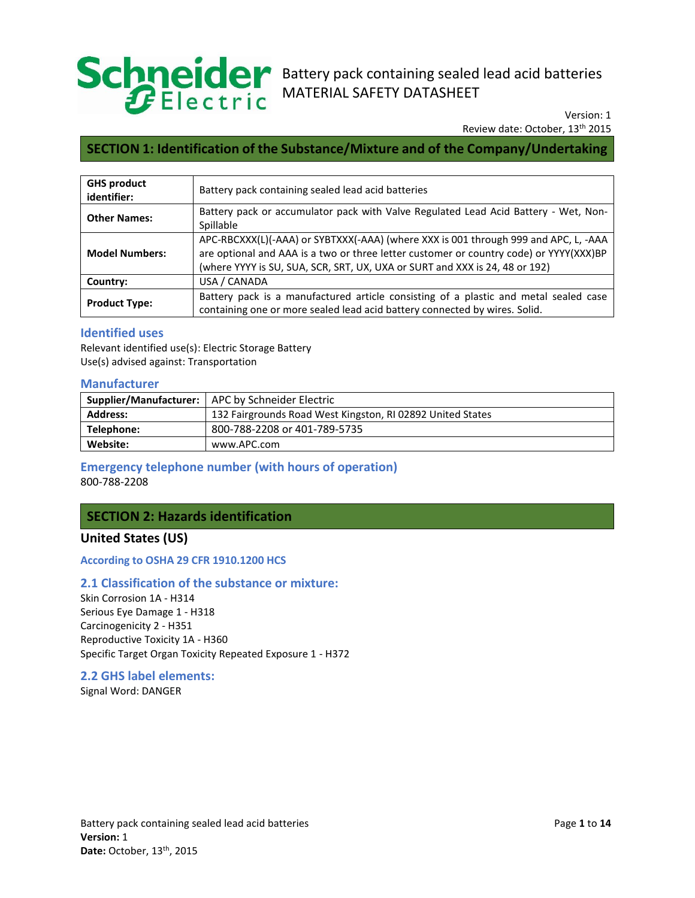

# Battery pack containing sealed lead acid batteries MATERIAL SAFETY DATASHEET

Review date: October, 13<sup>th</sup> 2015 Version: 1

## **SECTION 1: Identification of the Substance/Mixture and of the Company/Undertaking**

| <b>GHS product</b><br>identifier: | Battery pack containing sealed lead acid batteries                                                                                                                                                                                                           |  |
|-----------------------------------|--------------------------------------------------------------------------------------------------------------------------------------------------------------------------------------------------------------------------------------------------------------|--|
| <b>Other Names:</b>               | Battery pack or accumulator pack with Valve Regulated Lead Acid Battery - Wet, Non-<br>Spillable                                                                                                                                                             |  |
| <b>Model Numbers:</b>             | APC-RBCXXX(L)(-AAA) or SYBTXXX(-AAA) (where XXX is 001 through 999 and APC, L, -AAA<br>are optional and AAA is a two or three letter customer or country code) or YYYY(XXX)BP<br>(where YYYY is SU, SUA, SCR, SRT, UX, UXA or SURT and XXX is 24, 48 or 192) |  |
| Country:                          | USA / CANADA                                                                                                                                                                                                                                                 |  |
| <b>Product Type:</b>              | Battery pack is a manufactured article consisting of a plastic and metal sealed case<br>containing one or more sealed lead acid battery connected by wires. Solid.                                                                                           |  |

## **Identified uses**

Relevant identified use(s): Electric Storage Battery Use(s) advised against: Transportation

| <b>Manufacturer</b>    |                                                            |  |
|------------------------|------------------------------------------------------------|--|
| Supplier/Manufacturer: | APC by Schneider Electric                                  |  |
| <b>Address:</b>        | 132 Fairgrounds Road West Kingston, RI 02892 United States |  |
| Telephone:             | 800-788-2208 or 401-789-5735                               |  |
| Website:               | www.APC.com                                                |  |

# **Emergency telephone number (with hours of operation)**

800-788-2208

## **SECTION 2: Hazards identification**

## **United States (US)**

 **According to OSHA 29 CFR 1910.1200 HCS** 

## **2.1 Classification of the substance or mixture:**

 Skin Corrosion 1A - H314 Serious Eye Damage 1 - H318 Carcinogenicity 2 - H351 Reproductive Toxicity 1A - H360 Specific Target Organ Toxicity Repeated Exposure 1 - H372

#### **2.2 GHS label elements:**

Signal Word: DANGER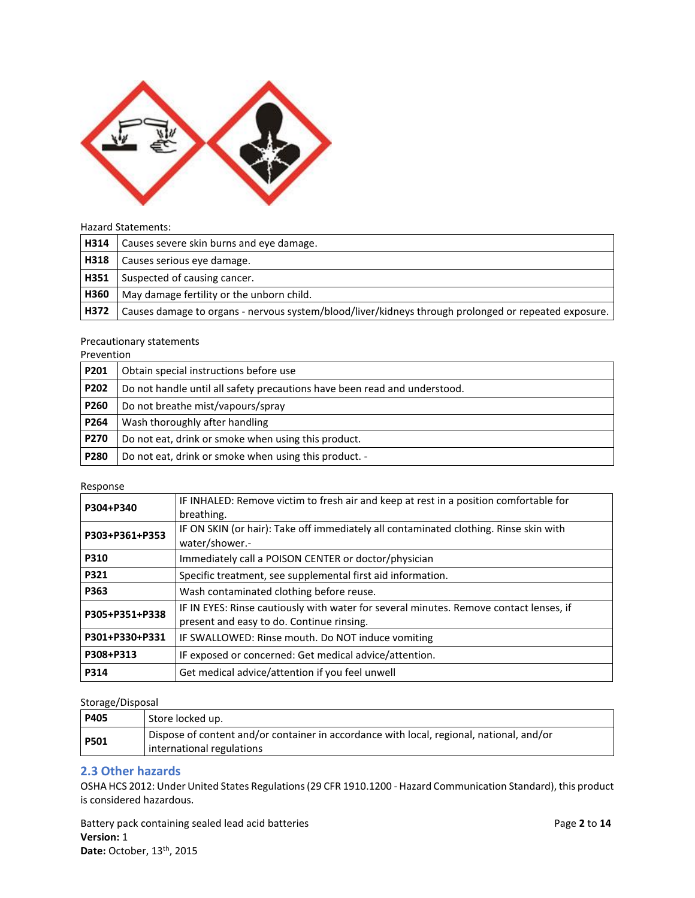

#### Hazard Statements:

| H314 | Causes severe skin burns and eye damage.                                                             |
|------|------------------------------------------------------------------------------------------------------|
| H318 | Causes serious eye damage.                                                                           |
| H351 | Suspected of causing cancer.                                                                         |
| H360 | May damage fertility or the unborn child.                                                            |
| H372 | Causes damage to organs - nervous system/blood/liver/kidneys through prolonged or repeated exposure. |

#### Precautionary statements

| Prevention  |                                                                           |
|-------------|---------------------------------------------------------------------------|
| P201        | Obtain special instructions before use                                    |
| <b>P202</b> | Do not handle until all safety precautions have been read and understood. |
| <b>P260</b> | Do not breathe mist/vapours/spray                                         |
| P264        | Wash thoroughly after handling                                            |
| <b>P270</b> | Do not eat, drink or smoke when using this product.                       |
| P280        | Do not eat, drink or smoke when using this product. -                     |

#### Response

| P304+P340                                                           | IF INHALED: Remove victim to fresh air and keep at rest in a position comfortable for  |  |
|---------------------------------------------------------------------|----------------------------------------------------------------------------------------|--|
|                                                                     | breathing.                                                                             |  |
| P303+P361+P353                                                      | IF ON SKIN (or hair): Take off immediately all contaminated clothing. Rinse skin with  |  |
|                                                                     | water/shower.-                                                                         |  |
| <b>P310</b>                                                         | Immediately call a POISON CENTER or doctor/physician                                   |  |
| P321                                                                | Specific treatment, see supplemental first aid information.                            |  |
| P363                                                                | Wash contaminated clothing before reuse.                                               |  |
| P305+P351+P338                                                      | IF IN EYES: Rinse cautiously with water for several minutes. Remove contact lenses, if |  |
|                                                                     | present and easy to do. Continue rinsing.                                              |  |
| P301+P330+P331<br>IF SWALLOWED: Rinse mouth. Do NOT induce vomiting |                                                                                        |  |
| P308+P313<br>IF exposed or concerned: Get medical advice/attention. |                                                                                        |  |
| P314                                                                | Get medical advice/attention if you feel unwell                                        |  |

#### Storage/Disposal

| <b>P405</b> | Store locked up.                                                                                                      |
|-------------|-----------------------------------------------------------------------------------------------------------------------|
| <b>P501</b> | Dispose of content and/or container in accordance with local, regional, national, and/or<br>international regulations |

#### **2.3 Other hazards**

 OSHA HCS 2012: Under United States Regulations (29 CFR 1910.1200 - Hazard Communication Standard), this product is considered hazardous.

Battery pack containing sealed lead acid batteries **Page 2** to 14 **Page 2** to 14 **Date:** October, 13th, 2015 **Version:** 1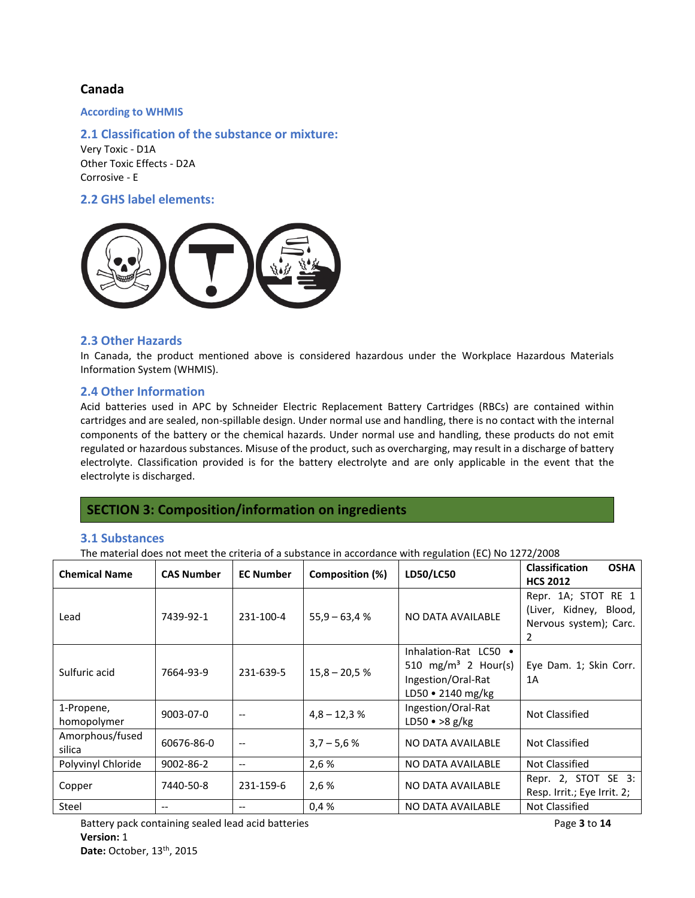#### **Canada**

 **According to WHMIS** 

 **2.1 Classification of the substance or mixture:** 

 Very Toxic - D1A Other Toxic Effects - D2A Corrosive - E

## **2.2 GHS label elements:**



## **2.3 Other Hazards**

 In Canada, the product mentioned above is considered hazardous under the Workplace Hazardous Materials Information System (WHMIS).

#### **2.4 Other Information**

 Acid batteries used in APC by Schneider Electric Replacement Battery Cartridges (RBCs) are contained within cartridges and are sealed, non-spillable design. Under normal use and handling, there is no contact with the internal components of the battery or the chemical hazards. Under normal use and handling, these products do not emit regulated or hazardous substances. Misuse of the product, such as overcharging, may result in a discharge of battery electrolyte. Classification provided is for the battery electrolyte and are only applicable in the event that the electrolyte is discharged.

## **SECTION 3: Composition/information on ingredients**

#### **3.1 Substances**

The material does not meet the criteria of a substance in accordance with regulation (EC) No 1272/2008

| <b>Chemical Name</b>      | <b>CAS Number</b> | <b>EC Number</b>                      | Composition (%) | LD50/LC50                                                                                                 | <b>Classification</b><br><b>OSHA</b><br><b>HCS 2012</b>                      |
|---------------------------|-------------------|---------------------------------------|-----------------|-----------------------------------------------------------------------------------------------------------|------------------------------------------------------------------------------|
| Lead                      | 7439-92-1         | 231-100-4                             | $55,9 - 63,4%$  | NO DATA AVAILABLE                                                                                         | Repr. 1A; STOT RE 1<br>(Liver, Kidney, Blood,<br>Nervous system); Carc.<br>2 |
| Sulfuric acid             | 7664-93-9         | 231-639-5                             | $15,8 - 20,5%$  | Inhalation-Rat LC50 .<br>510 mg/m <sup>3</sup> 2 Hour(s)<br>Ingestion/Oral-Rat<br>LD50 $\cdot$ 2140 mg/kg | Eye Dam. 1; Skin Corr.<br>1A                                                 |
| 1-Propene,<br>homopolymer | 9003-07-0         | $\qquad \qquad -$                     | $4,8 - 12,3%$   | Ingestion/Oral-Rat<br>$LD50 \cdot >8 g/kg$                                                                | Not Classified                                                               |
| Amorphous/fused<br>silica | 60676-86-0        | $\hspace{0.05cm}$ – $\hspace{0.05cm}$ | $3.7 - 5.6 %$   | NO DATA AVAILABLE                                                                                         | Not Classified                                                               |
| Polyvinyl Chloride        | $9002 - 86 - 2$   | --                                    | 2,6 %           | NO DATA AVAILABLE                                                                                         | Not Classified                                                               |
| Copper                    | 7440-50-8         | 231-159-6                             | 2,6 %           | NO DATA AVAILABLE                                                                                         | Repr. 2, STOT SE 3:<br>Resp. Irrit.; Eye Irrit. 2;                           |
| Steel                     | --                | $- -$                                 | 0.4%            | NO DATA AVAILABLE                                                                                         | Not Classified                                                               |

Battery pack containing sealed lead acid batteries **Page 3 to 14 Page 3 to 14 Page 3 to 14 Date: October, 13<sup>th</sup>, 2015 Version:** 1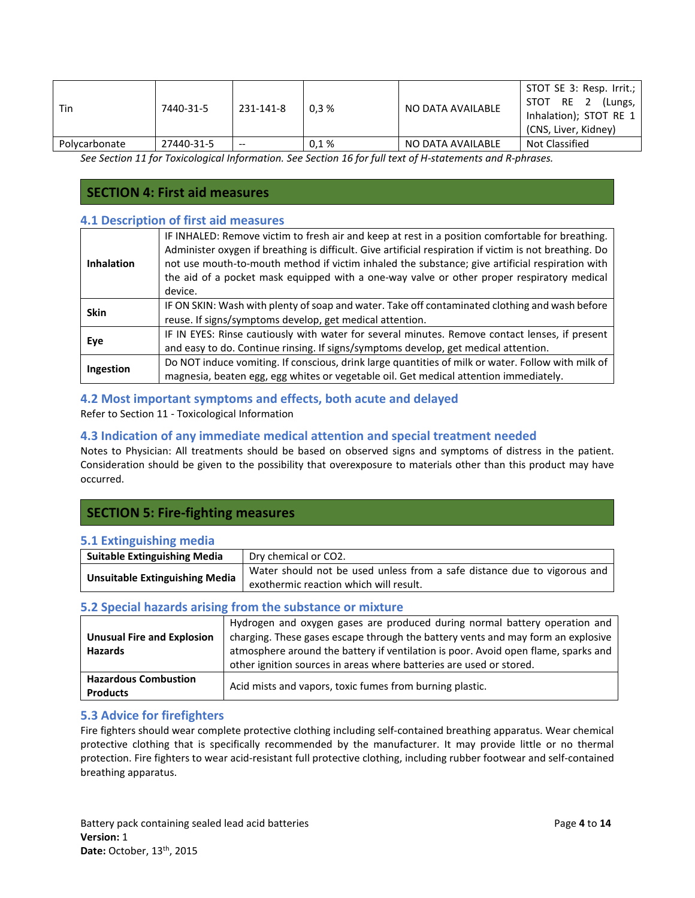| Tin           | 7440-31-5  | 231-141-8 | 0.3% | NO DATA AVAILABLE | STOT SE 3: Resp. Irrit.;<br>STOT RE 2<br>(Lungs,<br>Inhalation); STOT RE 1<br>(CNS, Liver, Kidney) |
|---------------|------------|-----------|------|-------------------|----------------------------------------------------------------------------------------------------|
| Polycarbonate | 27440-31-5 | $- -$     | 0.1% | NO DATA AVAILABLE | Not Classified                                                                                     |

 *See Section 11 for Toxicological Information. See Section 16 for full text of H-statements and R-phrases.* 

## **SECTION 4: First aid measures**

## **4.1 Description of first aid measures**

| <b>Inhalation</b> | IF INHALED: Remove victim to fresh air and keep at rest in a position comfortable for breathing.<br>Administer oxygen if breathing is difficult. Give artificial respiration if victim is not breathing. Do<br>not use mouth-to-mouth method if victim inhaled the substance; give artificial respiration with<br>the aid of a pocket mask equipped with a one-way valve or other proper respiratory medical<br>device. |
|-------------------|-------------------------------------------------------------------------------------------------------------------------------------------------------------------------------------------------------------------------------------------------------------------------------------------------------------------------------------------------------------------------------------------------------------------------|
| <b>Skin</b>       | IF ON SKIN: Wash with plenty of soap and water. Take off contaminated clothing and wash before<br>reuse. If signs/symptoms develop, get medical attention.                                                                                                                                                                                                                                                              |
| Eye               | IF IN EYES: Rinse cautiously with water for several minutes. Remove contact lenses, if present<br>and easy to do. Continue rinsing. If signs/symptoms develop, get medical attention.                                                                                                                                                                                                                                   |
| Ingestion         | Do NOT induce vomiting. If conscious, drink large quantities of milk or water. Follow with milk of<br>magnesia, beaten egg, egg whites or vegetable oil. Get medical attention immediately.                                                                                                                                                                                                                             |

## **4.2 Most important symptoms and effects, both acute and delayed**

Refer to Section 11 - Toxicological Information

## **4.3 Indication of any immediate medical attention and special treatment needed**

 Notes to Physician: All treatments should be based on observed signs and symptoms of distress in the patient. Consideration should be given to the possibility that overexposure to materials other than this product may have occurred.

## **SECTION 5: Fire-fighting measures**

## **5.1 Extinguishing media**

| <b>Suitable Extinguishing Media</b>   | Dry chemical or CO2.                                                     |
|---------------------------------------|--------------------------------------------------------------------------|
| <b>Unsuitable Extinguishing Media</b> | Water should not be used unless from a safe distance due to vigorous and |
|                                       | exothermic reaction which will result.                                   |

## **5.2 Special hazards arising from the substance or mixture**

| <b>Unusual Fire and Explosion</b><br><b>Hazards</b> | Hydrogen and oxygen gases are produced during normal battery operation and<br>charging. These gases escape through the battery vents and may form an explosive<br>atmosphere around the battery if ventilation is poor. Avoid open flame, sparks and<br>other ignition sources in areas where batteries are used or stored. |
|-----------------------------------------------------|-----------------------------------------------------------------------------------------------------------------------------------------------------------------------------------------------------------------------------------------------------------------------------------------------------------------------------|
| <b>Hazardous Combustion</b><br><b>Products</b>      | Acid mists and vapors, toxic fumes from burning plastic.                                                                                                                                                                                                                                                                    |

### **5.3 Advice for firefighters**

 Fire fighters should wear complete protective clothing including self-contained breathing apparatus. Wear chemical protective clothing that is specifically recommended by the manufacturer. It may provide little or no thermal protection. Fire fighters to wear acid-resistant full protective clothing, including rubber footwear and self-contained breathing apparatus.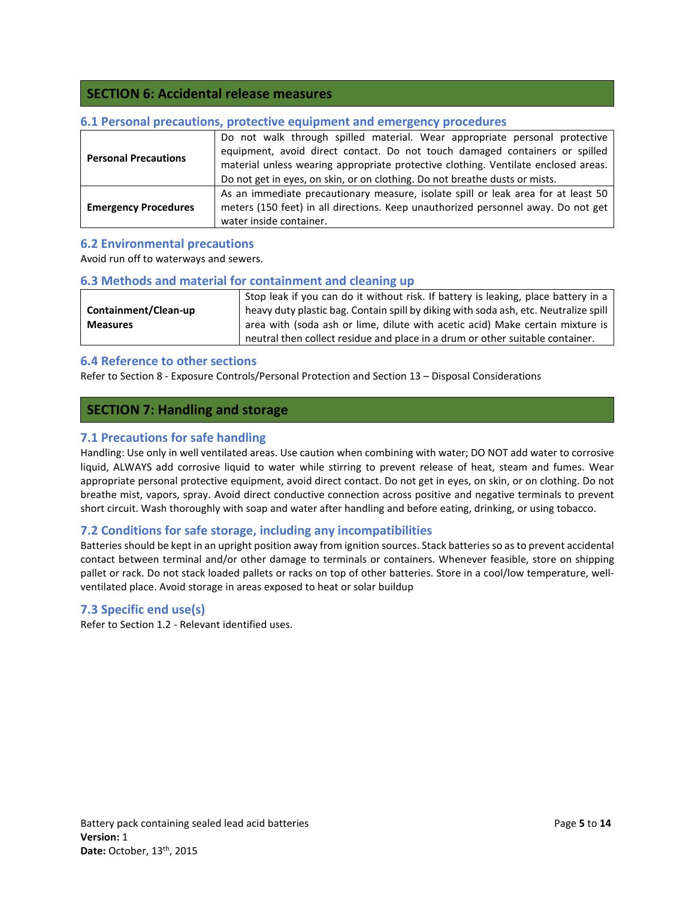## **SECTION 6: Accidental release measures**

| <b>Personal Precautions</b> | Do not walk through spilled material. Wear appropriate personal protective<br>equipment, avoid direct contact. Do not touch damaged containers or spilled<br>material unless wearing appropriate protective clothing. Ventilate enclosed areas.<br>Do not get in eyes, on skin, or on clothing. Do not breathe dusts or mists. |  |  |
|-----------------------------|--------------------------------------------------------------------------------------------------------------------------------------------------------------------------------------------------------------------------------------------------------------------------------------------------------------------------------|--|--|
| <b>Emergency Procedures</b> | As an immediate precautionary measure, isolate spill or leak area for at least 50<br>meters (150 feet) in all directions. Keep unauthorized personnel away. Do not get<br>water inside container.                                                                                                                              |  |  |

## **6.1 Personal precautions, protective equipment and emergency procedures**

## **6.2 Environmental precautions**

Avoid run off to waterways and sewers.

#### **6.3 Methods and material for containment and cleaning up**

|                      | Stop leak if you can do it without risk. If battery is leaking, place battery in a   |
|----------------------|--------------------------------------------------------------------------------------|
| Containment/Clean-up | heavy duty plastic bag. Contain spill by diking with soda ash, etc. Neutralize spill |
| <b>Measures</b>      | area with (soda ash or lime, dilute with acetic acid) Make certain mixture is        |
|                      | neutral then collect residue and place in a drum or other suitable container.        |

#### **6.4 Reference to other sections**

Refer to Section 8 - Exposure Controls/Personal Protection and Section 13 – Disposal Considerations

### **SECTION 7: Handling and storage**

### **7.1 Precautions for safe handling**

 Handling: Use only in well ventilated areas. Use caution when combining with water; DO NOT add water to corrosive liquid, ALWAYS add corrosive liquid to water while stirring to prevent release of heat, steam and fumes. Wear appropriate personal protective equipment, avoid direct contact. Do not get in eyes, on skin, or on clothing. Do not breathe mist, vapors, spray. Avoid direct conductive connection across positive and negative terminals to prevent short circuit. Wash thoroughly with soap and water after handling and before eating, drinking, or using tobacco.

## **7.2 Conditions for safe storage, including any incompatibilities**

 Batteries should be kept in an upright position away from ignition sources. Stack batteries so as to prevent accidental contact between terminal and/or other damage to terminals or containers. Whenever feasible, store on shipping pallet or rack. Do not stack loaded pallets or racks on top of other batteries. Store in a cool/low temperature, well-ventilated place. Avoid storage in areas exposed to heat or solar buildup

#### **7.3 Specific end use(s)**

Refer to Section 1.2 - Relevant identified uses.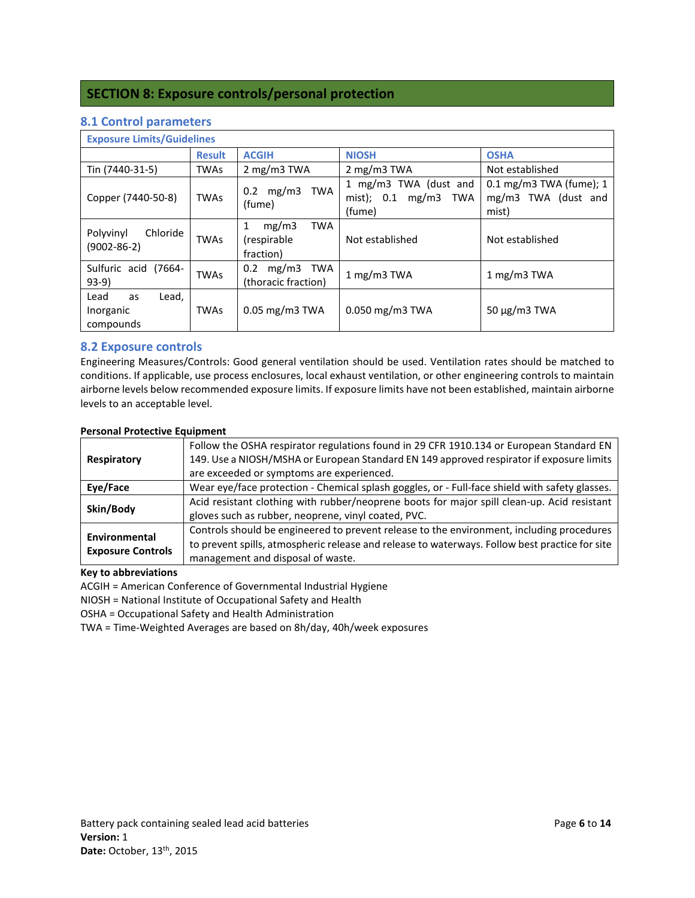## **SECTION 8: Exposure controls/personal protection**

| <b>Exposure Limits/Guidelines</b>             |               |                                                       |                                                                      |                                                           |
|-----------------------------------------------|---------------|-------------------------------------------------------|----------------------------------------------------------------------|-----------------------------------------------------------|
|                                               | <b>Result</b> | <b>ACGIH</b>                                          | <b>NIOSH</b>                                                         | <b>OSHA</b>                                               |
| Tin (7440-31-5)                               | <b>TWAs</b>   | 2 mg/m $3$ TWA                                        | 2 mg/m3 TWA                                                          | Not established                                           |
| Copper (7440-50-8)                            | <b>TWAs</b>   | $0.2 \, mg/m3$<br>TWA<br>(fume)                       | 1 mg/m3 TWA (dust and<br>mist); $0.1 \text{ mg/m3}$<br>TWA<br>(fume) | $0.1$ mg/m3 TWA (fume); 1<br>mg/m3 TWA (dust and<br>mist) |
| Chloride<br>Polyvinyl<br>$(9002 - 86 - 2)$    | <b>TWAs</b>   | 1<br>mg/m3<br><b>TWA</b><br>(respirable)<br>fraction) | Not established                                                      | Not established                                           |
| Sulfuric acid (7664-<br>$93-9)$               | <b>TWAs</b>   | mg/m3 TWA<br>0.2<br>(thoracic fraction)               | 1 mg/m $3$ TWA                                                       | 1 mg/m $3$ TWA                                            |
| Lead<br>Lead,<br>as<br>Inorganic<br>compounds | <b>TWAs</b>   | $0.05$ mg/m3 TWA                                      | $0.050$ mg/m3 TWA                                                    | $50 \mu g/m3$ TWA                                         |

## **8.1 Control parameters**

## **8.2 Exposure controls**

 Engineering Measures/Controls: Good general ventilation should be used. Ventilation rates should be matched to conditions. If applicable, use process enclosures, local exhaust ventilation, or other engineering controls to maintain airborne levels below recommended exposure limits. If exposure limits have not been established, maintain airborne levels to an acceptable level.

#### **Personal Protective Equipment**

|                          | Follow the OSHA respirator regulations found in 29 CFR 1910.134 or European Standard EN        |
|--------------------------|------------------------------------------------------------------------------------------------|
| Respiratory              | 149. Use a NIOSH/MSHA or European Standard EN 149 approved respirator if exposure limits       |
|                          | are exceeded or symptoms are experienced.                                                      |
| Eye/Face                 | Wear eye/face protection - Chemical splash goggles, or - Full-face shield with safety glasses. |
|                          | Acid resistant clothing with rubber/neoprene boots for major spill clean-up. Acid resistant    |
| Skin/Body                | gloves such as rubber, neoprene, vinyl coated, PVC.                                            |
| Environmental            | Controls should be engineered to prevent release to the environment, including procedures      |
| <b>Exposure Controls</b> | to prevent spills, atmospheric release and release to waterways. Follow best practice for site |
|                          | management and disposal of waste.                                                              |

#### **Key to abbreviations**

ACGIH = American Conference of Governmental Industrial Hygiene

NIOSH = National Institute of Occupational Safety and Health

OSHA = Occupational Safety and Health Administration

TWA = Time-Weighted Averages are based on 8h/day, 40h/week exposures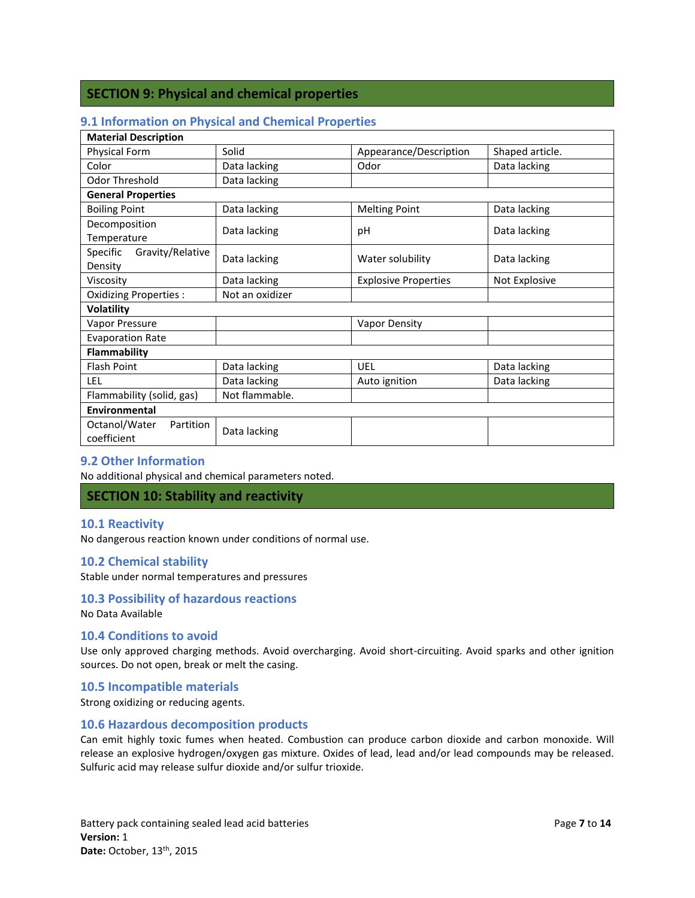## **SECTION 9: Physical and chemical properties**

## **9.1 Information on Physical and Chemical Properties**

| <b>Material Description</b>               |                 |                             |                 |  |  |
|-------------------------------------------|-----------------|-----------------------------|-----------------|--|--|
| Physical Form                             | Solid           | Appearance/Description      | Shaped article. |  |  |
| Color                                     | Data lacking    | Odor                        | Data lacking    |  |  |
| Odor Threshold                            | Data lacking    |                             |                 |  |  |
| <b>General Properties</b>                 |                 |                             |                 |  |  |
| <b>Boiling Point</b>                      | Data lacking    | <b>Melting Point</b>        | Data lacking    |  |  |
| Decomposition                             | Data lacking    | рH                          | Data lacking    |  |  |
| Temperature                               |                 |                             |                 |  |  |
| Gravity/Relative<br>Specific              | Data lacking    | Water solubility            | Data lacking    |  |  |
| Density                                   |                 |                             |                 |  |  |
| Viscosity                                 | Data lacking    | <b>Explosive Properties</b> | Not Explosive   |  |  |
| Oxidizing Properties :                    | Not an oxidizer |                             |                 |  |  |
| <b>Volatility</b>                         |                 |                             |                 |  |  |
| Vapor Pressure                            |                 | <b>Vapor Density</b>        |                 |  |  |
| <b>Evaporation Rate</b>                   |                 |                             |                 |  |  |
| Flammability                              |                 |                             |                 |  |  |
| <b>Flash Point</b>                        | Data lacking    | UEL                         | Data lacking    |  |  |
| LEL.                                      | Data lacking    | Auto ignition               | Data lacking    |  |  |
| Flammability (solid, gas)                 | Not flammable.  |                             |                 |  |  |
| Environmental                             |                 |                             |                 |  |  |
| Octanol/Water<br>Partition<br>coefficient | Data lacking    |                             |                 |  |  |

### **9.2 Other Information**

No additional physical and chemical parameters noted.

#### **SECTION 10: Stability and reactivity**

#### **10.1 Reactivity**

No dangerous reaction known under conditions of normal use.

#### **10.2 Chemical stability**

Stable under normal temperatures and pressures

#### **10.3 Possibility of hazardous reactions**

No Data Available

#### **10.4 Conditions to avoid**

 Use only approved charging methods. Avoid overcharging. Avoid short-circuiting. Avoid sparks and other ignition sources. Do not open, break or melt the casing.

#### **10.5 Incompatible materials**

Strong oxidizing or reducing agents.

#### **10.6 Hazardous decomposition products**

 Can emit highly toxic fumes when heated. Combustion can produce carbon dioxide and carbon monoxide. Will release an explosive hydrogen/oxygen gas mixture. Oxides of lead, lead and/or lead compounds may be released. Sulfuric acid may release sulfur dioxide and/or sulfur trioxide.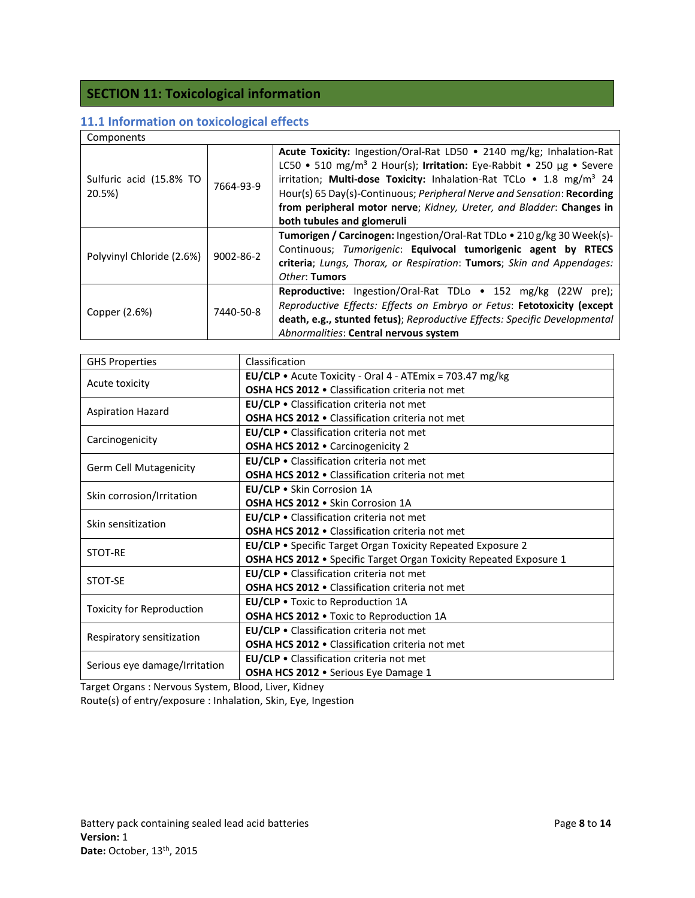# **SECTION 11: Toxicological information**

## **11.1 Information on toxicological effects**

| Components                        |                 |                                                                                                                                                                                                                                                                                                                                                                                                                              |  |  |
|-----------------------------------|-----------------|------------------------------------------------------------------------------------------------------------------------------------------------------------------------------------------------------------------------------------------------------------------------------------------------------------------------------------------------------------------------------------------------------------------------------|--|--|
| Sulfuric acid (15.8% TO<br>20.5%) | 7664-93-9       | Acute Toxicity: Ingestion/Oral-Rat LD50 . 2140 mg/kg; Inhalation-Rat<br>LC50 • 510 mg/m <sup>3</sup> 2 Hour(s); Irritation: Eye-Rabbit • 250 µg • Severe<br>irritation; Multi-dose Toxicity: Inhalation-Rat TCLo . 1.8 mg/m <sup>3</sup> 24<br>Hour(s) 65 Day(s)-Continuous; Peripheral Nerve and Sensation: Recording<br>from peripheral motor nerve; Kidney, Ureter, and Bladder: Changes in<br>both tubules and glomeruli |  |  |
| Polyvinyl Chloride (2.6%)         | $9002 - 86 - 2$ | Tumorigen / Carcinogen: Ingestion/Oral-Rat TDLo . 210 g/kg 30 Week(s)-<br>Continuous; Tumorigenic: Equivocal tumorigenic agent by RTECS<br>criteria; Lungs, Thorax, or Respiration: Tumors; Skin and Appendages:<br>Other: Tumors                                                                                                                                                                                            |  |  |
| Copper (2.6%)                     | 7440-50-8       | Reproductive: Ingestion/Oral-Rat TDLo • 152 mg/kg (22W pre);<br>Reproductive Effects: Effects on Embryo or Fetus: Fetotoxicity (except<br>death, e.g., stunted fetus); Reproductive Effects: Specific Developmental<br>Abnormalities: Central nervous system                                                                                                                                                                 |  |  |

| <b>GHS Properties</b>            | Classification                                                     |
|----------------------------------|--------------------------------------------------------------------|
|                                  | <b>EU/CLP</b> • Acute Toxicity - Oral 4 - ATEmix = 703.47 mg/kg    |
| Acute toxicity                   | <b>OSHA HCS 2012 •</b> Classification criteria not met             |
|                                  | EU/CLP . Classification criteria not met                           |
| <b>Aspiration Hazard</b>         | <b>OSHA HCS 2012 •</b> Classification criteria not met             |
| Carcinogenicity                  | EU/CLP . Classification criteria not met                           |
|                                  | OSHA HCS 2012 . Carcinogenicity 2                                  |
| <b>Germ Cell Mutagenicity</b>    | EU/CLP . Classification criteria not met                           |
|                                  | <b>OSHA HCS 2012 •</b> Classification criteria not met             |
| Skin corrosion/Irritation        | EU/CLP . Skin Corrosion 1A                                         |
|                                  | OSHA HCS 2012 . Skin Corrosion 1A                                  |
| Skin sensitization               | <b>EU/CLP</b> • Classification criteria not met                    |
|                                  | <b>OSHA HCS 2012 •</b> Classification criteria not met             |
| <b>STOT-RE</b>                   | EU/CLP . Specific Target Organ Toxicity Repeated Exposure 2        |
|                                  | OSHA HCS 2012 . Specific Target Organ Toxicity Repeated Exposure 1 |
| STOT-SE                          | EU/CLP . Classification criteria not met                           |
|                                  | <b>OSHA HCS 2012 •</b> Classification criteria not met             |
| <b>Toxicity for Reproduction</b> | EU/CLP . Toxic to Reproduction 1A                                  |
|                                  | OSHA HCS 2012 . Toxic to Reproduction 1A                           |
| Respiratory sensitization        | EU/CLP . Classification criteria not met                           |
|                                  | OSHA HCS 2012 . Classification criteria not met                    |
|                                  | <b>EU/CLP •</b> Classification criteria not met                    |
| Serious eye damage/Irritation    | OSHA HCS 2012 . Serious Eye Damage 1                               |

 Target Organs : Nervous System, Blood, Liver, Kidney Route(s) of entry/exposure : Inhalation, Skin, Eye, Ingestion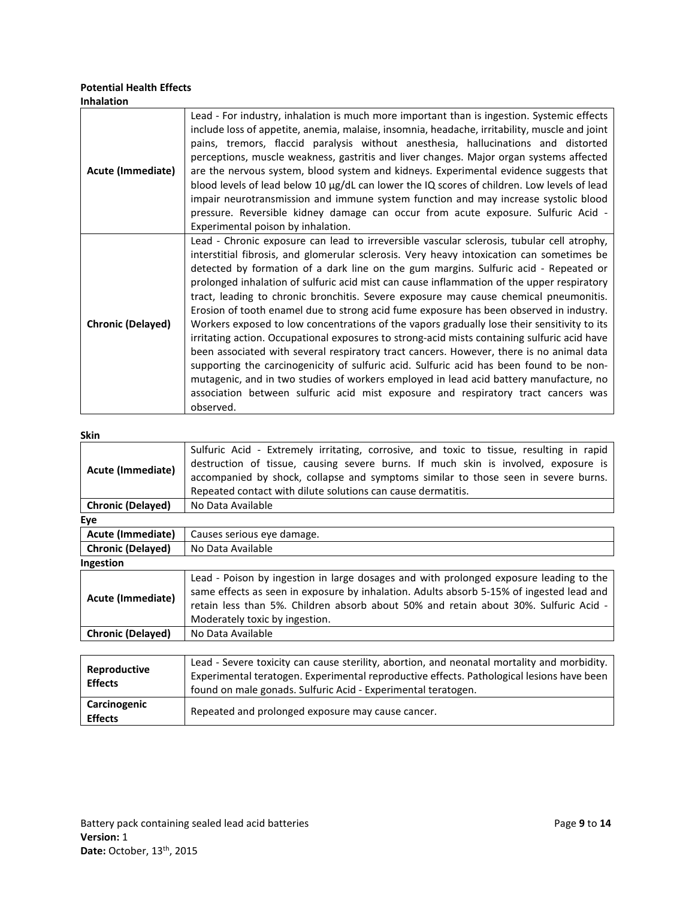#### **Potential Health Effects Inhalation**

| Acute (Immediate)        | Lead - For industry, inhalation is much more important than is ingestion. Systemic effects<br>include loss of appetite, anemia, malaise, insomnia, headache, irritability, muscle and joint<br>pains, tremors, flaccid paralysis without anesthesia, hallucinations and distorted<br>perceptions, muscle weakness, gastritis and liver changes. Major organ systems affected<br>are the nervous system, blood system and kidneys. Experimental evidence suggests that<br>blood levels of lead below 10 µg/dL can lower the IQ scores of children. Low levels of lead<br>impair neurotransmission and immune system function and may increase systolic blood<br>pressure. Reversible kidney damage can occur from acute exposure. Sulfuric Acid -<br>Experimental poison by inhalation.                                                                                                                                                                                                                                                                                                                                                               |
|--------------------------|------------------------------------------------------------------------------------------------------------------------------------------------------------------------------------------------------------------------------------------------------------------------------------------------------------------------------------------------------------------------------------------------------------------------------------------------------------------------------------------------------------------------------------------------------------------------------------------------------------------------------------------------------------------------------------------------------------------------------------------------------------------------------------------------------------------------------------------------------------------------------------------------------------------------------------------------------------------------------------------------------------------------------------------------------------------------------------------------------------------------------------------------------|
| <b>Chronic (Delayed)</b> | Lead - Chronic exposure can lead to irreversible vascular sclerosis, tubular cell atrophy,<br>interstitial fibrosis, and glomerular sclerosis. Very heavy intoxication can sometimes be<br>detected by formation of a dark line on the gum margins. Sulfuric acid - Repeated or<br>prolonged inhalation of sulfuric acid mist can cause inflammation of the upper respiratory<br>tract, leading to chronic bronchitis. Severe exposure may cause chemical pneumonitis.<br>Erosion of tooth enamel due to strong acid fume exposure has been observed in industry.<br>Workers exposed to low concentrations of the vapors gradually lose their sensitivity to its<br>irritating action. Occupational exposures to strong-acid mists containing sulfuric acid have<br>been associated with several respiratory tract cancers. However, there is no animal data<br>supporting the carcinogenicity of sulfuric acid. Sulfuric acid has been found to be non-<br>mutagenic, and in two studies of workers employed in lead acid battery manufacture, no<br>association between sulfuric acid mist exposure and respiratory tract cancers was<br>observed. |

#### **Skin**

|                          | Sulfuric Acid - Extremely irritating, corrosive, and toxic to tissue, resulting in rapid    |  |  |
|--------------------------|---------------------------------------------------------------------------------------------|--|--|
|                          | destruction of tissue, causing severe burns. If much skin is involved, exposure is          |  |  |
| <b>Acute (Immediate)</b> | accompanied by shock, collapse and symptoms similar to those seen in severe burns.          |  |  |
|                          | Repeated contact with dilute solutions can cause dermatitis.                                |  |  |
| <b>Chronic (Delayed)</b> | No Data Available                                                                           |  |  |
| Eye                      |                                                                                             |  |  |
| <b>Acute (Immediate)</b> | Causes serious eye damage.                                                                  |  |  |
| <b>Chronic (Delayed)</b> | No Data Available                                                                           |  |  |
| Ingestion                |                                                                                             |  |  |
|                          | Lead - Poison by ingestion in large dosages and with prolonged exposure leading to the      |  |  |
| <b>Acute (Immediate)</b> | same effects as seen in exposure by inhalation. Adults absorb 5-15% of ingested lead and    |  |  |
|                          | retain less than 5%. Children absorb about 50% and retain about 30%. Sulfuric Acid -        |  |  |
|                          | Moderately toxic by ingestion.                                                              |  |  |
| <b>Chronic (Delayed)</b> | No Data Available                                                                           |  |  |
|                          |                                                                                             |  |  |
|                          | Lead - Severe toxicity can cause sterility, abortion, and neonatal mortality and morbidity. |  |  |
| <b>Reproductive</b>      |                                                                                             |  |  |

| Reproductive<br><b>Effects</b> | -Lead - Severe toxicity can cause sterility, abortion, and neonatal mortality and morbidity.<br>Experimental teratogen. Experimental reproductive effects. Pathological lesions have been<br>found on male gonads. Sulfuric Acid - Experimental teratogen. |
|--------------------------------|------------------------------------------------------------------------------------------------------------------------------------------------------------------------------------------------------------------------------------------------------------|
| Carcinogenic<br><b>Effects</b> | Repeated and prolonged exposure may cause cancer.                                                                                                                                                                                                          |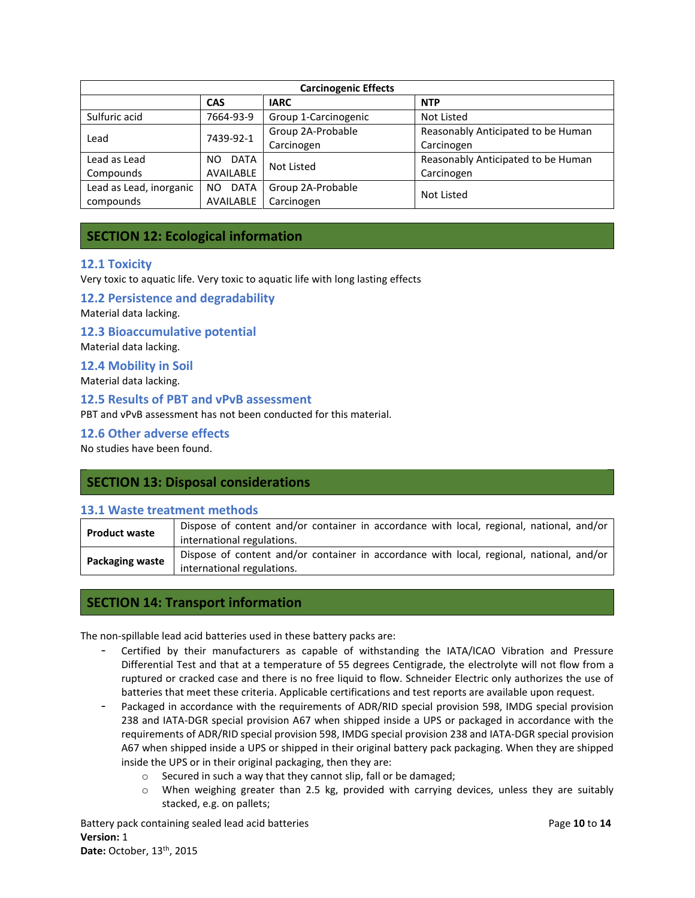| <b>Carcinogenic Effects</b>      |                   |                      |                                    |  |
|----------------------------------|-------------------|----------------------|------------------------------------|--|
| CAS<br><b>NTP</b><br><b>IARC</b> |                   |                      |                                    |  |
| Sulfuric acid                    | 7664-93-9         | Group 1-Carcinogenic | Not Listed                         |  |
|                                  | 7439-92-1         | Group 2A-Probable    | Reasonably Anticipated to be Human |  |
| Lead                             |                   | Carcinogen           | Carcinogen                         |  |
| Lead as Lead                     | DATA<br>NO.       | Not Listed           | Reasonably Anticipated to be Human |  |
| Compounds                        | AVAILABLE         |                      | Carcinogen                         |  |
| Lead as Lead, inorganic          | <b>DATA</b><br>NO | Group 2A-Probable    |                                    |  |
| AVAILABLE<br>compounds           |                   | Carcinogen           | Not Listed                         |  |

## **SECTION 12: Ecological information**

#### **12.1 Toxicity**

Very toxic to aquatic life. Very toxic to aquatic life with long lasting effects

 **12.2 Persistence and degradability** 

Material data lacking.

 **12.3 Bioaccumulative potential** 

Material data lacking.

 **12.4 Mobility in Soil** 

Material data lacking.

 **12.5 Results of PBT and vPvB assessment** 

PBT and vPvB assessment has not been conducted for this material.

 **12.6 Other adverse effects** 

No studies have been found.

## **SECTION 13: Disposal considerations**

## **13.1 Waste treatment methods**

| <b>Product waste</b>   | Dispose of content and/or container in accordance with local, regional, national, and/or<br>international regulations. |
|------------------------|------------------------------------------------------------------------------------------------------------------------|
| <b>Packaging waste</b> | Dispose of content and/or container in accordance with local, regional, national, and/or<br>international regulations. |

#### **SECTION 14: Transport information**

The non-spillable lead acid batteries used in these battery packs are:

- - Certified by their manufacturers as capable of withstanding the IATA/ICAO Vibration and Pressure Differential Test and that at a temperature of 55 degrees Centigrade, the electrolyte will not flow from a ruptured or cracked case and there is no free liquid to flow. Schneider Electric only authorizes the use of batteries that meet these criteria. Applicable certifications and test reports are available upon request.
- - Packaged in accordance with the requirements of ADR/RID special provision 598, IMDG special provision 238 and IATA-DGR special provision A67 when shipped inside a UPS or packaged in accordance with the requirements of ADR/RID special provision 598, IMDG special provision 238 and IATA-DGR special provision A67 when shipped inside a UPS or shipped in their original battery pack packaging. When they are shipped inside the UPS or in their original packaging, then they are:
	- o Secured in such a way that they cannot slip, fall or be damaged;
	- o When weighing greater than 2.5 kg, provided with carrying devices, unless they are suitably stacked, e.g. on pallets;

 Battery pack containing sealed lead acid batteries Page **10** to **14 Date: October, 13<sup>th</sup>, 2015 Version:** 1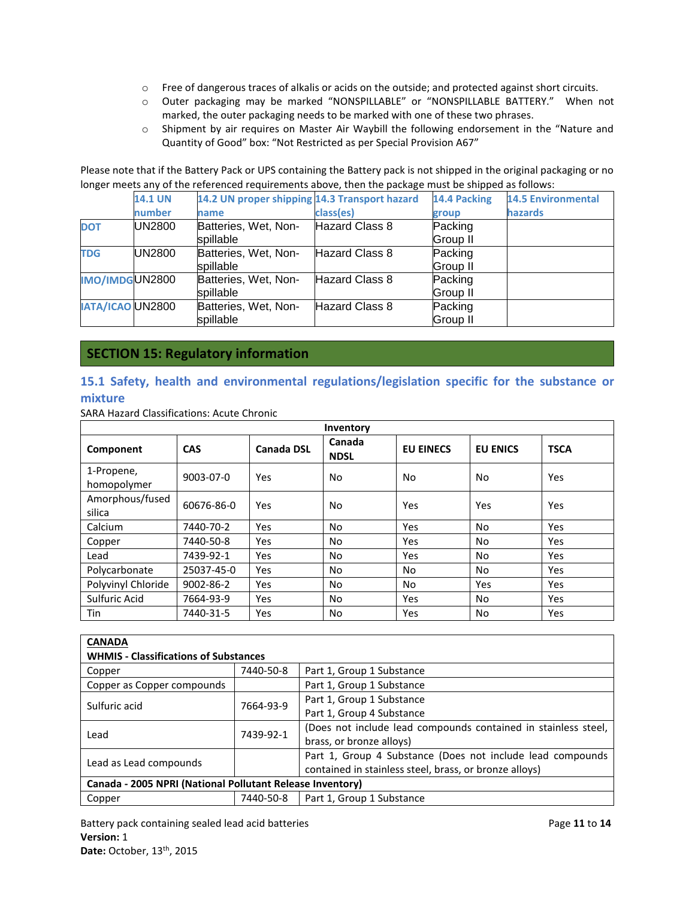- o Free of dangerous traces of alkalis or acids on the outside; and protected against short circuits.
- o Outer packaging may be marked "NONSPILLABLE" or "NONSPILLABLE BATTERY." When not marked, the outer packaging needs to be marked with one of these two phrases.
- o Shipment by air requires on Master Air Waybill the following endorsement in the "Nature and Quantity of Good" box: "Not Restricted as per Special Provision A67"

Please note that if the Battery Pack or UPS containing the Battery pack is not shipped in the original packaging or no longer meets any of the referenced requirements above, then the package must be shipped as follows:

|            | <b>14.1 UN</b>          | 14.2 UN proper shipping 14.3 Transport hazard |                | 14.4 Packing    | <b>14.5 Environmental</b> |
|------------|-------------------------|-----------------------------------------------|----------------|-----------------|---------------------------|
|            | number                  | name                                          | class(es)      | group           | <b>hazards</b>            |
| <b>DOT</b> | <b>UN2800</b>           | Batteries, Wet, Non-                          | Hazard Class 8 | Packing         |                           |
|            |                         | spillable                                     |                | <b>Group II</b> |                           |
| <b>TDG</b> | <b>UN2800</b>           | Batteries, Wet, Non-                          | Hazard Class 8 | Packing         |                           |
|            |                         | spillable                                     |                | Group II        |                           |
|            | IMO/IMDGUN2800          | Batteries, Wet, Non-                          | Hazard Class 8 | Packing         |                           |
|            |                         | spillable                                     |                | Group II        |                           |
|            | <b>IATA/ICAO UN2800</b> | Batteries, Wet, Non-                          | Hazard Class 8 | Packing         |                           |
|            |                         | spillable                                     |                | <b>Group II</b> |                           |

## **SECTION 15: Regulatory information**

## **15.1 Safety, health and environmental regulations/legislation specific for the substance or mixture**

SARA Hazard Classifications: Acute Chronic

| Inventory                 |            |                   |                       |                  |                 |             |  |
|---------------------------|------------|-------------------|-----------------------|------------------|-----------------|-------------|--|
| Component                 | <b>CAS</b> | <b>Canada DSL</b> | Canada<br><b>NDSL</b> | <b>EU EINECS</b> | <b>EU ENICS</b> | <b>TSCA</b> |  |
| 1-Propene,<br>homopolymer | 9003-07-0  | Yes               | No.                   | No               | No              | Yes         |  |
| Amorphous/fused<br>silica | 60676-86-0 | Yes               | <b>No</b>             | Yes              | Yes             | Yes         |  |
| Calcium                   | 7440-70-2  | Yes               | <b>No</b>             | Yes              | No              | Yes         |  |
| Copper                    | 7440-50-8  | Yes               | <b>No</b>             | Yes              | No              | Yes         |  |
| Lead                      | 7439-92-1  | Yes               | <b>No</b>             | Yes              | No              | Yes         |  |
| Polycarbonate             | 25037-45-0 | Yes               | No.                   | No.              | No              | Yes         |  |
| Polyvinyl Chloride        | 9002-86-2  | Yes               | <b>No</b>             | No.              | Yes             | Yes         |  |
| Sulfuric Acid             | 7664-93-9  | Yes               | No.                   | Yes              | No              | Yes         |  |
| Tin                       | 7440-31-5  | Yes               | <b>No</b>             | Yes              | No              | Yes         |  |

| <b>CANADA</b>                                             |                                        |                                                                |  |  |  |
|-----------------------------------------------------------|----------------------------------------|----------------------------------------------------------------|--|--|--|
| <b>WHMIS - Classifications of Substances</b>              |                                        |                                                                |  |  |  |
| Copper                                                    | 7440-50-8                              | Part 1, Group 1 Substance                                      |  |  |  |
| Copper as Copper compounds                                |                                        | Part 1, Group 1 Substance                                      |  |  |  |
| Sulfuric acid                                             | 7664-93-9                              | Part 1, Group 1 Substance                                      |  |  |  |
|                                                           |                                        | Part 1, Group 4 Substance                                      |  |  |  |
| Lead                                                      | 7439-92-1                              | (Does not include lead compounds contained in stainless steel, |  |  |  |
|                                                           |                                        | brass, or bronze alloys)                                       |  |  |  |
| Lead as Lead compounds                                    |                                        | Part 1, Group 4 Substance (Does not include lead compounds     |  |  |  |
|                                                           |                                        | contained in stainless steel, brass, or bronze alloys)         |  |  |  |
| Canada - 2005 NPRI (National Pollutant Release Inventory) |                                        |                                                                |  |  |  |
| Copper                                                    | 7440-50-8<br>Part 1, Group 1 Substance |                                                                |  |  |  |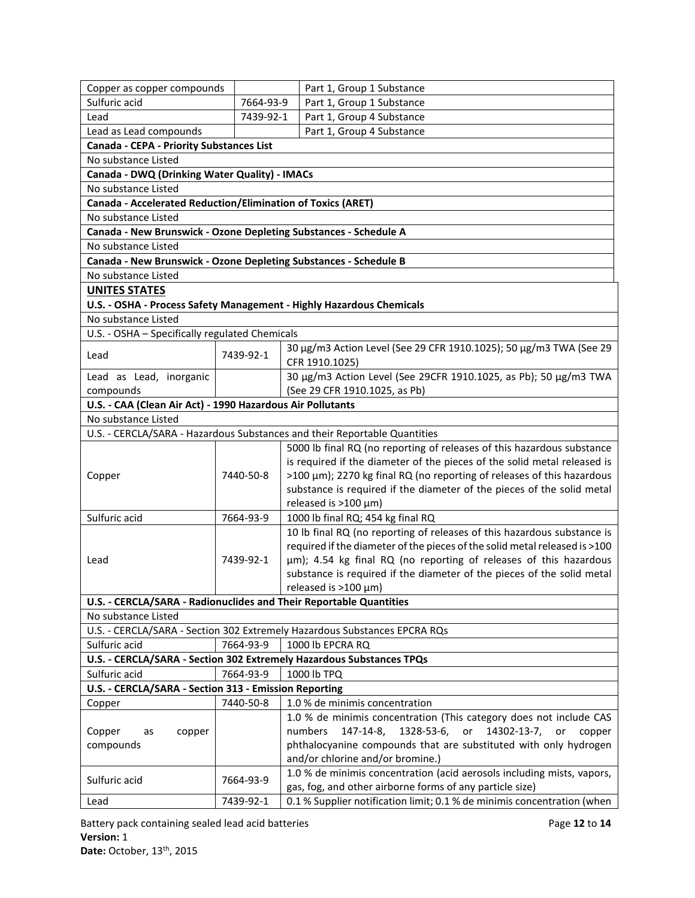| Copper as copper compounds<br>Sulfuric acid                                             | 7664-93-9                                                            | Part 1, Group 1 Substance<br>Part 1, Group 1 Substance                               |  |  |  |  |  |
|-----------------------------------------------------------------------------------------|----------------------------------------------------------------------|--------------------------------------------------------------------------------------|--|--|--|--|--|
| Lead                                                                                    | 7439-92-1                                                            | Part 1, Group 4 Substance                                                            |  |  |  |  |  |
|                                                                                         |                                                                      |                                                                                      |  |  |  |  |  |
| Part 1, Group 4 Substance<br>Lead as Lead compounds                                     |                                                                      |                                                                                      |  |  |  |  |  |
| Canada - CEPA - Priority Substances List                                                |                                                                      |                                                                                      |  |  |  |  |  |
|                                                                                         | No substance Listed<br>Canada - DWQ (Drinking Water Quality) - IMACs |                                                                                      |  |  |  |  |  |
| No substance Listed                                                                     |                                                                      |                                                                                      |  |  |  |  |  |
|                                                                                         |                                                                      |                                                                                      |  |  |  |  |  |
|                                                                                         | Canada - Accelerated Reduction/Elimination of Toxics (ARET)          |                                                                                      |  |  |  |  |  |
| No substance Listed<br>Canada - New Brunswick - Ozone Depleting Substances - Schedule A |                                                                      |                                                                                      |  |  |  |  |  |
| No substance Listed                                                                     |                                                                      |                                                                                      |  |  |  |  |  |
| Canada - New Brunswick - Ozone Depleting Substances - Schedule B                        |                                                                      |                                                                                      |  |  |  |  |  |
| No substance Listed                                                                     |                                                                      |                                                                                      |  |  |  |  |  |
| <b>UNITES STATES</b>                                                                    |                                                                      |                                                                                      |  |  |  |  |  |
|                                                                                         |                                                                      |                                                                                      |  |  |  |  |  |
|                                                                                         |                                                                      | U.S. - OSHA - Process Safety Management - Highly Hazardous Chemicals                 |  |  |  |  |  |
| No substance Listed                                                                     |                                                                      |                                                                                      |  |  |  |  |  |
| U.S. - OSHA - Specifically regulated Chemicals                                          |                                                                      |                                                                                      |  |  |  |  |  |
| Lead                                                                                    | 7439-92-1                                                            | 30 µg/m3 Action Level (See 29 CFR 1910.1025); 50 µg/m3 TWA (See 29<br>CFR 1910.1025) |  |  |  |  |  |
| Lead as Lead, inorganic                                                                 |                                                                      | 30 µg/m3 Action Level (See 29CFR 1910.1025, as Pb); 50 µg/m3 TWA                     |  |  |  |  |  |
| compounds                                                                               |                                                                      | (See 29 CFR 1910.1025, as Pb)                                                        |  |  |  |  |  |
| U.S. - CAA (Clean Air Act) - 1990 Hazardous Air Pollutants                              |                                                                      |                                                                                      |  |  |  |  |  |
| No substance Listed                                                                     |                                                                      |                                                                                      |  |  |  |  |  |
|                                                                                         |                                                                      | U.S. - CERCLA/SARA - Hazardous Substances and their Reportable Quantities            |  |  |  |  |  |
|                                                                                         |                                                                      | 5000 lb final RQ (no reporting of releases of this hazardous substance               |  |  |  |  |  |
|                                                                                         |                                                                      | is required if the diameter of the pieces of the solid metal released is             |  |  |  |  |  |
| Copper                                                                                  | 7440-50-8                                                            | >100 μm); 2270 kg final RQ (no reporting of releases of this hazardous               |  |  |  |  |  |
|                                                                                         |                                                                      | substance is required if the diameter of the pieces of the solid metal               |  |  |  |  |  |
|                                                                                         |                                                                      | released is $>100 \mu m$ )                                                           |  |  |  |  |  |
| Sulfuric acid                                                                           | 7664-93-9                                                            | 1000 lb final RQ; 454 kg final RQ                                                    |  |  |  |  |  |
|                                                                                         |                                                                      | 10 lb final RQ (no reporting of releases of this hazardous substance is              |  |  |  |  |  |
|                                                                                         |                                                                      | required if the diameter of the pieces of the solid metal released is >100           |  |  |  |  |  |
| Lead                                                                                    | 7439-92-1                                                            | µm); 4.54 kg final RQ (no reporting of releases of this hazardous                    |  |  |  |  |  |
|                                                                                         |                                                                      | substance is required if the diameter of the pieces of the solid metal               |  |  |  |  |  |
|                                                                                         |                                                                      | released is $>100 \mu m$ )                                                           |  |  |  |  |  |
|                                                                                         |                                                                      | U.S. - CERCLA/SARA - Radionuclides and Their Reportable Quantities                   |  |  |  |  |  |
| No substance Listed                                                                     |                                                                      |                                                                                      |  |  |  |  |  |
|                                                                                         |                                                                      | U.S. - CERCLA/SARA - Section 302 Extremely Hazardous Substances EPCRA RQs            |  |  |  |  |  |
| Sulfuric acid                                                                           | 7664-93-9                                                            | 1000 lb EPCRA RQ                                                                     |  |  |  |  |  |
|                                                                                         |                                                                      | U.S. - CERCLA/SARA - Section 302 Extremely Hazardous Substances TPQs                 |  |  |  |  |  |
| Sulfuric acid                                                                           | 7664-93-9                                                            | 1000 lb TPQ                                                                          |  |  |  |  |  |
| U.S. - CERCLA/SARA - Section 313 - Emission Reporting                                   |                                                                      |                                                                                      |  |  |  |  |  |
| Copper                                                                                  | 7440-50-8                                                            | 1.0 % de minimis concentration                                                       |  |  |  |  |  |
|                                                                                         |                                                                      | 1.0 % de minimis concentration (This category does not include CAS                   |  |  |  |  |  |
| Copper<br>copper<br>as                                                                  |                                                                      | numbers<br>147-14-8,<br>1328-53-6,<br>or<br>14302-13-7,<br>or<br>copper              |  |  |  |  |  |
| compounds                                                                               |                                                                      | phthalocyanine compounds that are substituted with only hydrogen                     |  |  |  |  |  |
|                                                                                         |                                                                      | and/or chlorine and/or bromine.)                                                     |  |  |  |  |  |
| Sulfuric acid                                                                           | 7664-93-9                                                            | 1.0 % de minimis concentration (acid aerosols including mists, vapors,               |  |  |  |  |  |
|                                                                                         |                                                                      | gas, fog, and other airborne forms of any particle size)                             |  |  |  |  |  |
| Lead                                                                                    | 7439-92-1                                                            | 0.1 % Supplier notification limit; 0.1 % de minimis concentration (when              |  |  |  |  |  |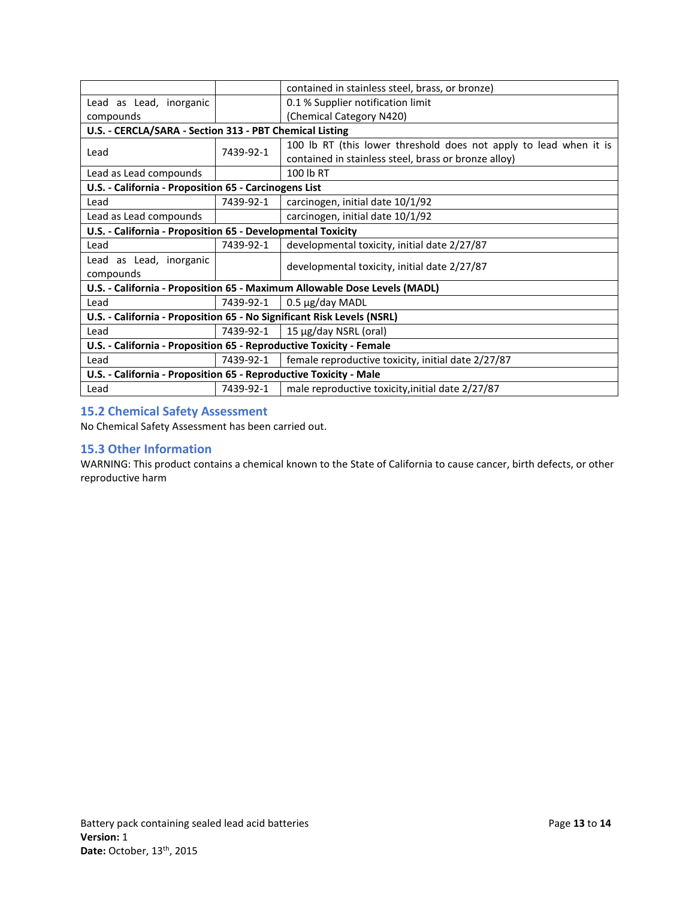|                                                                           |                                                                 | contained in stainless steel, brass, or bronze)                   |  |  |  |
|---------------------------------------------------------------------------|-----------------------------------------------------------------|-------------------------------------------------------------------|--|--|--|
| Lead as Lead, inorganic                                                   |                                                                 | 0.1 % Supplier notification limit                                 |  |  |  |
| compounds                                                                 |                                                                 | (Chemical Category N420)                                          |  |  |  |
| U.S. - CERCLA/SARA - Section 313 - PBT Chemical Listing                   |                                                                 |                                                                   |  |  |  |
|                                                                           | 7439-92-1                                                       | 100 lb RT (this lower threshold does not apply to lead when it is |  |  |  |
| Lead                                                                      |                                                                 | contained in stainless steel, brass or bronze alloy)              |  |  |  |
| Lead as Lead compounds                                                    |                                                                 | 100 lb RT                                                         |  |  |  |
| U.S. - California - Proposition 65 - Carcinogens List                     |                                                                 |                                                                   |  |  |  |
| Lead                                                                      | 7439-92-1                                                       | carcinogen, initial date 10/1/92                                  |  |  |  |
| Lead as Lead compounds                                                    |                                                                 | carcinogen, initial date 10/1/92                                  |  |  |  |
| U.S. - California - Proposition 65 - Developmental Toxicity               |                                                                 |                                                                   |  |  |  |
| Lead                                                                      | 7439-92-1                                                       | developmental toxicity, initial date 2/27/87                      |  |  |  |
| Lead as Lead, inorganic                                                   |                                                                 |                                                                   |  |  |  |
| compounds                                                                 |                                                                 | developmental toxicity, initial date 2/27/87                      |  |  |  |
| U.S. - California - Proposition 65 - Maximum Allowable Dose Levels (MADL) |                                                                 |                                                                   |  |  |  |
| Lead                                                                      | 0.5 µg/day MADL<br>7439-92-1                                    |                                                                   |  |  |  |
| U.S. - California - Proposition 65 - No Significant Risk Levels (NSRL)    |                                                                 |                                                                   |  |  |  |
| Lead                                                                      | 7439-92-1<br>15 µg/day NSRL (oral)                              |                                                                   |  |  |  |
| U.S. - California - Proposition 65 - Reproductive Toxicity - Female       |                                                                 |                                                                   |  |  |  |
| Lead                                                                      | female reproductive toxicity, initial date 2/27/87<br>7439-92-1 |                                                                   |  |  |  |
| U.S. - California - Proposition 65 - Reproductive Toxicity - Male         |                                                                 |                                                                   |  |  |  |
| Lead                                                                      | 7439-92-1<br>male reproductive toxicity, initial date 2/27/87   |                                                                   |  |  |  |

### **15.2 Chemical Safety Assessment**

No Chemical Safety Assessment has been carried out.

#### **15.3 Other Information**

WARNING: This product contains a chemical known to the State of California to cause cancer, birth defects, or other reproductive harm